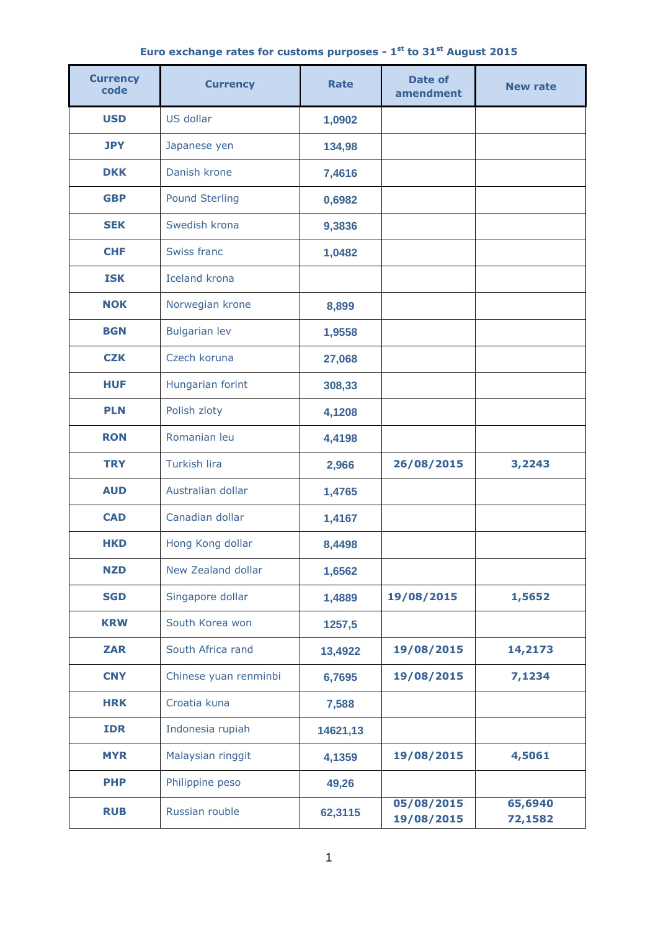|  | Euro exchange rates for customs purposes - 1 <sup>st</sup> to 31 <sup>st</sup> August 2015 |  |  |  |  |  |  |  |  |  |  |
|--|--------------------------------------------------------------------------------------------|--|--|--|--|--|--|--|--|--|--|
|--|--------------------------------------------------------------------------------------------|--|--|--|--|--|--|--|--|--|--|

| <b>Currency</b><br>code | <b>Currency</b>       | <b>Rate</b> | <b>Date of</b><br>amendment | <b>New rate</b>    |  |
|-------------------------|-----------------------|-------------|-----------------------------|--------------------|--|
| <b>USD</b>              | US dollar             | 1,0902      |                             |                    |  |
| <b>JPY</b>              | Japanese yen          | 134,98      |                             |                    |  |
| <b>DKK</b>              | Danish krone          | 7,4616      |                             |                    |  |
| <b>GBP</b>              | <b>Pound Sterling</b> | 0,6982      |                             |                    |  |
| <b>SEK</b>              | Swedish krona         | 9,3836      |                             |                    |  |
| <b>CHF</b>              | Swiss franc           | 1,0482      |                             |                    |  |
| <b>ISK</b>              | <b>Iceland krona</b>  |             |                             |                    |  |
| <b>NOK</b>              | Norwegian krone       | 8,899       |                             |                    |  |
| <b>BGN</b>              | <b>Bulgarian lev</b>  | 1,9558      |                             |                    |  |
| <b>CZK</b>              | Czech koruna          | 27,068      |                             |                    |  |
| <b>HUF</b>              | Hungarian forint      | 308,33      |                             |                    |  |
| <b>PLN</b>              | Polish zloty          | 4,1208      |                             |                    |  |
| <b>RON</b>              | Romanian leu          | 4,4198      |                             |                    |  |
| <b>TRY</b>              | <b>Turkish lira</b>   | 2,966       | 26/08/2015                  | 3,2243             |  |
| <b>AUD</b>              | Australian dollar     | 1,4765      |                             |                    |  |
| <b>CAD</b>              | Canadian dollar       | 1,4167      |                             |                    |  |
| <b>HKD</b>              | Hong Kong dollar      | 8,4498      |                             |                    |  |
| <b>NZD</b>              | New Zealand dollar    | 1,6562      |                             |                    |  |
| <b>SGD</b>              | Singapore dollar      | 1,4889      | 19/08/2015                  | 1,5652             |  |
| <b>KRW</b>              | South Korea won       | 1257,5      |                             |                    |  |
| <b>ZAR</b>              | South Africa rand     | 13,4922     | 19/08/2015                  | 14,2173            |  |
| <b>CNY</b>              | Chinese yuan renminbi | 6,7695      | 19/08/2015                  | 7,1234             |  |
| <b>HRK</b>              | Croatia kuna          | 7,588       |                             |                    |  |
| <b>IDR</b>              | Indonesia rupiah      | 14621,13    |                             |                    |  |
| <b>MYR</b>              | Malaysian ringgit     | 4,1359      | 19/08/2015                  | 4,5061             |  |
| <b>PHP</b>              | Philippine peso       | 49,26       |                             |                    |  |
| <b>RUB</b>              | Russian rouble        | 62,3115     | 05/08/2015<br>19/08/2015    | 65,6940<br>72,1582 |  |